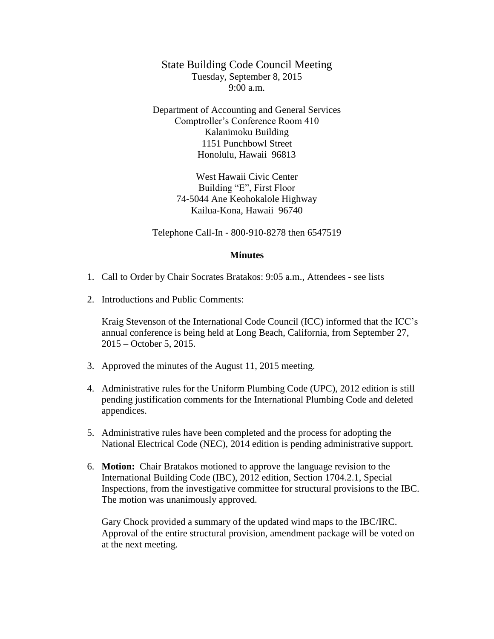State Building Code Council Meeting Tuesday, September 8, 2015 9:00 a.m.

Department of Accounting and General Services Comptroller's Conference Room 410 Kalanimoku Building 1151 Punchbowl Street Honolulu, Hawaii 96813

> West Hawaii Civic Center Building "E", First Floor 74-5044 Ane Keohokalole Highway Kailua-Kona, Hawaii 96740

Telephone Call-In - 800-910-8278 then 6547519

## **Minutes**

- 1. Call to Order by Chair Socrates Bratakos: 9:05 a.m., Attendees see lists
- 2. Introductions and Public Comments:

Kraig Stevenson of the International Code Council (ICC) informed that the ICC's annual conference is being held at Long Beach, California, from September 27, 2015 – October 5, 2015.

- 3. Approved the minutes of the August 11, 2015 meeting.
- 4. Administrative rules for the Uniform Plumbing Code (UPC), 2012 edition is still pending justification comments for the International Plumbing Code and deleted appendices.
- 5. Administrative rules have been completed and the process for adopting the National Electrical Code (NEC), 2014 edition is pending administrative support.
- 6. **Motion:** Chair Bratakos motioned to approve the language revision to the International Building Code (IBC), 2012 edition, Section 1704.2.1, Special Inspections, from the investigative committee for structural provisions to the IBC. The motion was unanimously approved.

Gary Chock provided a summary of the updated wind maps to the IBC/IRC. Approval of the entire structural provision, amendment package will be voted on at the next meeting.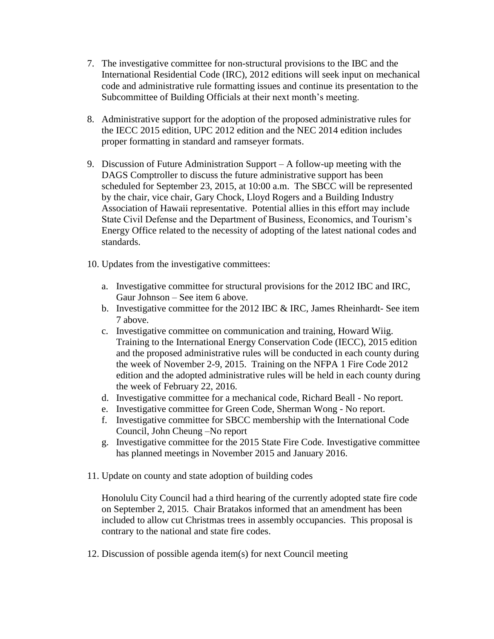- 7. The investigative committee for non-structural provisions to the IBC and the International Residential Code (IRC), 2012 editions will seek input on mechanical code and administrative rule formatting issues and continue its presentation to the Subcommittee of Building Officials at their next month's meeting.
- 8. Administrative support for the adoption of the proposed administrative rules for the IECC 2015 edition, UPC 2012 edition and the NEC 2014 edition includes proper formatting in standard and ramseyer formats.
- 9. Discussion of Future Administration Support A follow-up meeting with the DAGS Comptroller to discuss the future administrative support has been scheduled for September 23, 2015, at 10:00 a.m. The SBCC will be represented by the chair, vice chair, Gary Chock, Lloyd Rogers and a Building Industry Association of Hawaii representative. Potential allies in this effort may include State Civil Defense and the Department of Business, Economics, and Tourism's Energy Office related to the necessity of adopting of the latest national codes and standards.
- 10. Updates from the investigative committees:
	- a. Investigative committee for structural provisions for the 2012 IBC and IRC, Gaur Johnson – See item 6 above.
	- b. Investigative committee for the 2012 IBC & IRC, James Rheinhardt- See item 7 above.
	- c. Investigative committee on communication and training, Howard Wiig. Training to the International Energy Conservation Code (IECC), 2015 edition and the proposed administrative rules will be conducted in each county during the week of November 2-9, 2015. Training on the NFPA 1 Fire Code 2012 edition and the adopted administrative rules will be held in each county during the week of February 22, 2016.
	- d. Investigative committee for a mechanical code, Richard Beall No report.
	- e. Investigative committee for Green Code, Sherman Wong No report.
	- f. Investigative committee for SBCC membership with the International Code Council, John Cheung –No report
	- g. Investigative committee for the 2015 State Fire Code. Investigative committee has planned meetings in November 2015 and January 2016.
- 11. Update on county and state adoption of building codes

Honolulu City Council had a third hearing of the currently adopted state fire code on September 2, 2015. Chair Bratakos informed that an amendment has been included to allow cut Christmas trees in assembly occupancies. This proposal is contrary to the national and state fire codes.

12. Discussion of possible agenda item(s) for next Council meeting